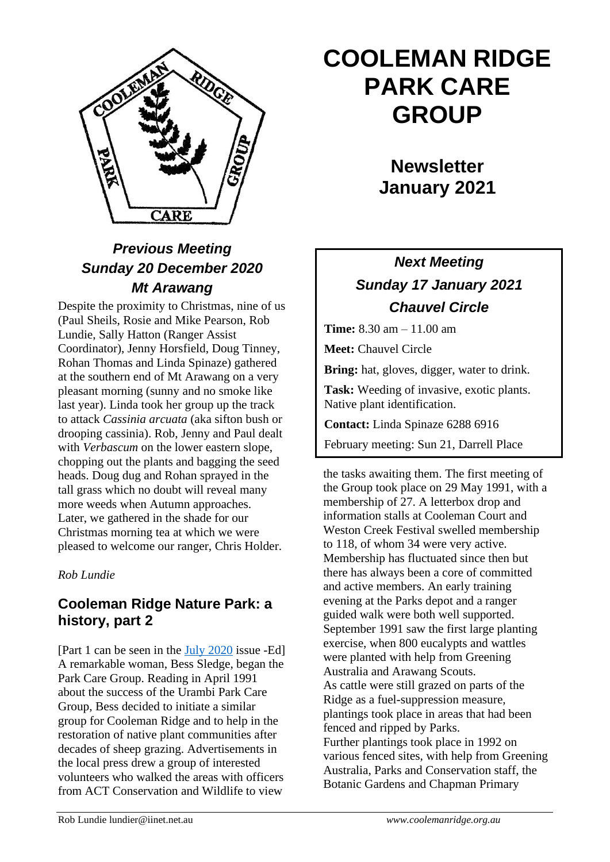

## *Previous Meeting Sunday 20 December 2020 Mt Arawang*

Despite the proximity to Christmas, nine of us (Paul Sheils, Rosie and Mike Pearson, Rob Lundie, Sally Hatton (Ranger Assist Coordinator), Jenny Horsfield, Doug Tinney, Rohan Thomas and Linda Spinaze) gathered at the southern end of Mt Arawang on a very pleasant morning (sunny and no smoke like last year). Linda took her group up the track to attack *Cassinia arcuata* (aka sifton bush or drooping cassinia). Rob, Jenny and Paul dealt with *Verbascum* on the lower eastern slope, chopping out the plants and bagging the seed heads. Doug dug and Rohan sprayed in the tall grass which no doubt will reveal many more weeds when Autumn approaches. Later, we gathered in the shade for our Christmas morning tea at which we were pleased to welcome our ranger, Chris Holder.

#### *Rob Lundie*

### **Cooleman Ridge Nature Park: a history, part 2**

[Part 1 can be seen in the [July 2020](http://coolemanridge.org.au/news/Newsletter%20324%20-%20July%202020.pdf) issue -Ed] A remarkable woman, Bess Sledge, began the Park Care Group. Reading in April 1991 about the success of the Urambi Park Care Group, Bess decided to initiate a similar group for Cooleman Ridge and to help in the restoration of native plant communities after decades of sheep grazing. Advertisements in the local press drew a group of interested volunteers who walked the areas with officers from ACT Conservation and Wildlife to view

# **COOLEMAN RIDGE PARK CARE GROUP**

## **Newsletter January 2021**

## *Next Meeting Sunday 17 January 2021 Chauvel Circle*

**Time:** 8.30 am – 11.00 am

**Meet:** Chauvel Circle

**Bring:** hat, gloves, digger, water to drink.

**Task:** Weeding of invasive, exotic plants. Native plant identification.

**Contact:** Linda Spinaze 6288 6916

February meeting: Sun 21, Darrell Place

the tasks awaiting them. The first meeting of the Group took place on 29 May 1991, with a membership of 27. A letterbox drop and information stalls at Cooleman Court and Weston Creek Festival swelled membership to 118, of whom 34 were very active. Membership has fluctuated since then but there has always been a core of committed and active members. An early training evening at the Parks depot and a ranger guided walk were both well supported. September 1991 saw the first large planting exercise, when 800 eucalypts and wattles were planted with help from Greening Australia and Arawang Scouts. As cattle were still grazed on parts of the Ridge as a fuel-suppression measure, plantings took place in areas that had been fenced and ripped by Parks. Further plantings took place in 1992 on various fenced sites, with help from Greening Australia, Parks and Conservation staff, the Botanic Gardens and Chapman Primary